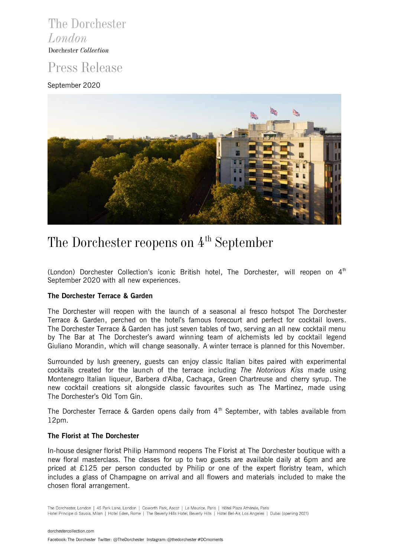## The Dorchester London Dorchester Collection

## Press Release

## September 2020



# The Dorchester reopens on  $4<sup>th</sup>$  September

(London) Dorchester Collection's iconic British hotel, The Dorchester, will reopen on  $4<sup>th</sup>$ September 2020 with all new experiences.

## **The Dorchester Terrace & Garden**

The Dorchester will reopen with the launch of a seasonal al fresco hotspot The Dorchester Terrace & Garden, perched on the hotel's famous forecourt and perfect for cocktail lovers. The Dorchester Terrace & Garden has just seven tables of two, serving an all new cocktail menu by The Bar at The Dorchester's award winning team of alchemists led by cocktail legend Giuliano Morandin, which will change seasonally. A winter terrace is planned for this November.

Surrounded by lush greenery, guests can enjoy classic Italian bites paired with experimental cocktails created for the launch of the terrace including *The Notorious Kiss* made using Montenegro Italian liqueur, Barbera d'Alba, Cachaça, Green Chartreuse and cherry syrup. The new cocktail creations sit alongside classic favourites such as The Martinez, made using The Dorchester's Old Tom Gin.

The Dorchester Terrace & Garden opens daily from  $4<sup>th</sup>$  September, with tables available from 12pm.

## **The Florist at The Dorchester**

In-house designer florist Philip Hammond reopens The Florist at The Dorchester boutique with a new floral masterclass. The classes for up to two guests are available daily at 6pm and are priced at £125 per person conducted by Philip or one of the expert floristry team, which includes a glass of Champagne on arrival and all flowers and materials included to make the chosen floral arrangement.

The Dorchester, London | 45 Park Lane, London | Coworth Park, Ascot | Le Meurice, Paris | Hôtel Plaza Athénée, Paris Hotel Principe di Savoia, Milan | Hotel Eden, Rome | The Beverly Hills Hotel, Beverly Hills | Hotel Bel-Air, Los Angeles | Dubai (opening 2021)

[dorchestercollection.com](http://www.dorchestercollection.com/) Facebook: The Dorchester Twitter: @TheDorchesterInstagram: @thedorchester #DCmoments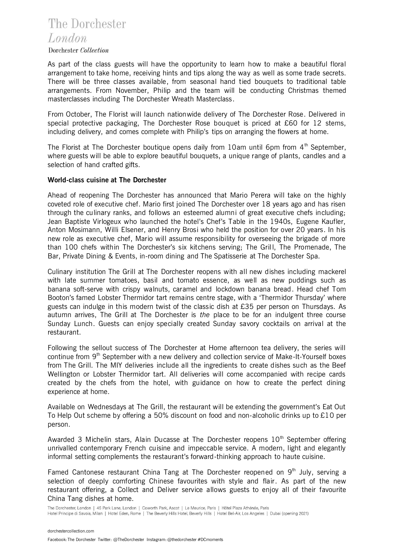## The Dorchester London

Dorchester Collection

As part of the class guests will have the opportunity to learn how to make a beautiful floral arrangement to take home, receiving hints and tips along the way as well as some trade secrets. There will be three classes available, from seasonal hand tied bouquets to traditional table arrangements. From November, Philip and the team will be conducting Christmas themed masterclasses including The Dorchester Wreath Masterclass.

From October, The Florist will launch nationwide delivery of The Dorchester Rose. Delivered in special protective packaging, The Dorchester Rose bouquet is priced at £60 for 12 stems, including delivery, and comes complete with Philip's tips on arranging the flowers at home.

The Florist at The Dorchester boutique opens daily from 10am until 6pm from  $4<sup>th</sup>$  September, where guests will be able to explore beautiful bouquets, a unique range of plants, candles and a selection of hand crafted gifts.

## **World-class cuisine at The Dorchester**

Ahead of reopening The Dorchester has announced that Mario Perera will take on the highly coveted role of executive chef. Mario first joined The Dorchester over 18 years ago and has risen through the culinary ranks, and follows an esteemed alumni of great executive chefs including; Jean Baptiste Virlogeux who launched the hotel's Chef's Table in the 1940s, Eugene Kaufler, Anton Mosimann, Willi Elsener, and Henry Brosi who held the position for over 20 years. In his new role as executive chef, Mario will assume responsibility for overseeing the brigade of more than 100 chefs within The Dorchester's six kitchens serving; The Grill, The Promenade, The Bar, Private Dining & Events, in-room dining and The Spatisserie at The Dorchester Spa.

Culinary institution The Grill at The Dorchester reopens with all new dishes including mackerel with late summer tomatoes, basil and tomato essence, as well as new puddings such as banana soft-serve with crispy walnuts, caramel and lockdown banana bread. Head chef Tom Booton's famed Lobster Thermidor tart remains centre stage, with a 'Thermidor Thursday' where guests can indulge in this modern twist of the classic dish at £35 per person on Thursdays. As autumn arrives, The Grill at The Dorchester is *the* place to be for an indulgent three course Sunday Lunch. Guests can enjoy specially created Sunday savory cocktails on arrival at the restaurant.

Following the sellout success of The Dorchester at Home afternoon tea delivery, the series will continue from 9<sup>th</sup> September with a new delivery and collection service of Make-It-Yourself boxes from The Grill. The MIY deliveries include all the ingredients to create dishes such as the Beef Wellington or Lobster Thermidor tart. All deliveries will come accompanied with recipe cards created by the chefs from the hotel, with guidance on how to create the perfect dining experience at home.

Available on Wednesdays at The Grill, the restaurant will be extending the government's Eat Out To Help Out scheme by offering a 50% discount on food and non-alcoholic drinks up to £10 per person.

Awarded 3 Michelin stars, Alain Ducasse at The Dorchester reopens  $10<sup>th</sup>$  September offering unrivalled contemporary French cuisine and impeccable service. A modern, light and elegantly informal setting complements the restaurant's forward-thinking approach to haute cuisine.

Famed Cantonese restaurant China Tang at The Dorchester reopened on  $9<sup>th</sup>$  July, serving a selection of deeply comforting Chinese favourites with style and flair. As part of the new restaurant offering, a Collect and Deliver service allows guests to enjoy all of their favourite China Tang dishes at home.

The Dorchester, London | 45 Park Lane, London | Coworth Park, Ascot | Le Meurice, Paris | Hôtel Plaza Athénée, Paris Hotel Principe di Savoia, Milan | Hotel Eden, Rome | The Beverly Hills Hotel, Beverly Hills | Hotel Bel-Air, Los Angeles | Dubai (opening 2021)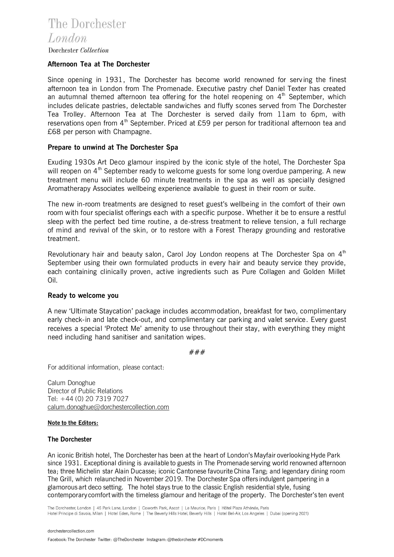## **Afternoon Tea at The Dorchester**

Since opening in 1931, The Dorchester has become world renowned for serv ing the finest afternoon tea in London from The Promenade. Executive pastry chef Daniel Texter has created an autumnal themed afternoon tea offering for the hotel reopening on  $4<sup>th</sup>$  September, which includes delicate pastries, delectable sandwiches and fluffy scones served from The Dorchester Tea Trolley. Afternoon Tea at The Dorchester is served daily from 11am to 6pm, with reservations open from  $4<sup>th</sup>$  September. Priced at £59 per person for traditional afternoon tea and £68 per person with Champagne.

## **Prepare to unwind at The Dorchester Spa**

Exuding 1930s Art Deco glamour inspired by the iconic style of the hotel, The Dorchester Spa will reopen on  $4<sup>th</sup>$  September ready to welcome guests for some long overdue pampering. A new treatment menu will include 60 minute treatments in the spa as well as specially designed Aromatherapy Associates wellbeing experience available to guest in their room or suite.

The new in-room treatments are designed to reset guest's wellbeing in the comfort of their own room with four specialist offerings each with a specific purpose. Whether it be to ensure a restful sleep with the perfect bed time routine, a de-stress treatment to relieve tension, a full recharge of mind and revival of the skin, or to restore with a Forest Therapy grounding and restorative treatment.

Revolutionary hair and beauty salon, Carol Joy London reopens at The Dorchester Spa on  $4<sup>th</sup>$ September using their own formulated products in every hair and beauty service they provide, each containing clinically proven, active ingredients such as Pure Collagen and Golden Millet Oil.

### **Ready to welcome you**

A new 'Ultimate Staycation' package includes accommodation, breakfast for two, complimentary early check-in and late check-out, and complimentary car parking and valet service. Every guest receives a special 'Protect Me' amenity to use throughout their stay, with everything they might need including hand sanitiser and sanitation wipes.

### ###

For additional information, please contact:

Calum Donoghue Director of Public Relations Tel: +44 (0) 20 7319 7027 [calum.donoghue@dorchestercollection.com](mailto:calum.donoghue@dorchestercollection.com)

### **Note to the Editors:**

### **The Dorchester**

An iconic British hotel, The Dorchester has been at the heart of London's Mayfair overlooking Hyde Park since 1931. Exceptional dining is available to guests in The Promenade serving world renowned afternoon tea; three Michelin star Alain Ducasse; iconic Cantonese favourite China Tang; and legendary dining room The Grill, which relaunched in November 2019. The Dorchester Spa offers indulgent pampering in a glamorous art deco setting. The hotel stays true to the classic English residential style, fusing contemporary comfort with the timeless glamour and heritage of the property. The Dorchester's ten event

The Dorchester, London | 45 Park Lane, London | Coworth Park, Ascot | Le Meurice, Paris | Hôtel Plaza Athénée, Paris Hotel Principe di Savoia, Milan | Hotel Eden, Rome | The Beverly Hills Hotel, Beverly Hills | Hotel Bel-Air, Los Angeles | Dubai (opening 2021)

[dorchestercollection.com](http://www.dorchestercollection.com/)

Facebook: The Dorchester Twitter: @TheDorchesterInstagram: @thedorchester #DCmoments